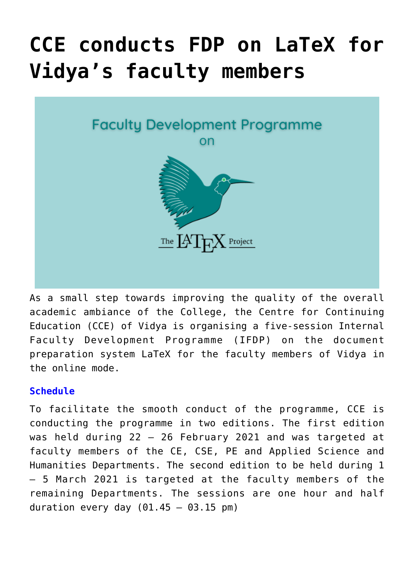# **[CCE conducts FDP on LaTeX for](https://news.vidyaacademy.ac.in/2021/03/03/cce-conducts-fdp-on-latex-for-vidyas-faculty-members/) [Vidya's faculty members](https://news.vidyaacademy.ac.in/2021/03/03/cce-conducts-fdp-on-latex-for-vidyas-faculty-members/)**



As a small step towards improving the quality of the overall academic ambiance of the College, the Centre for Continuing Education (CCE) of Vidya is organising a five-session Internal Faculty Development Programme (IFDP) on the document preparation system LaTeX for the faculty members of Vidya in the online mode.

## **Schedule**

To facilitate the smooth conduct of the programme, CCE is conducting the programme in two editions. The first edition was held during 22 – 26 February 2021 and was targeted at faculty members of the CE, CSE, PE and Applied Science and Humanities Departments. The second edition to be held during 1 – 5 March 2021 is targeted at the faculty members of the remaining Departments. The sessions are one hour and half duration every day  $(01.45 - 03.15 \text{ pm})$